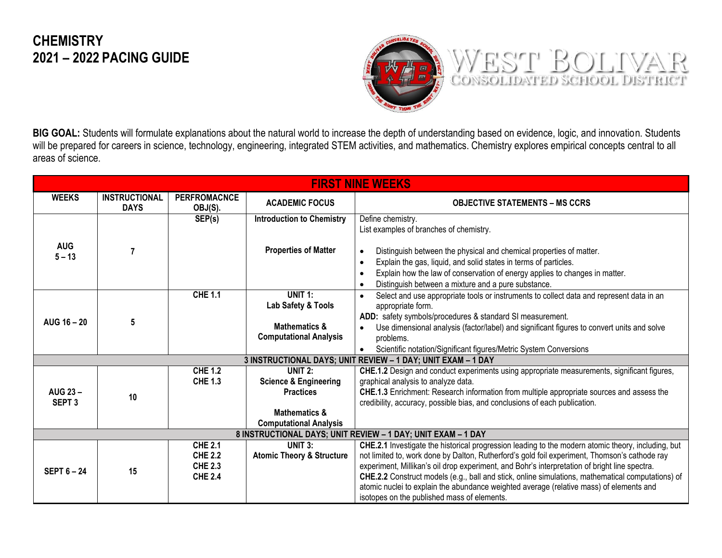## **CHEMISTRY 2021 – 2022 PACING GUIDE**



**BIG GOAL:** Students will formulate explanations about the natural world to increase the depth of understanding based on evidence, logic, and innovation. Students will be prepared for careers in science, technology, engineering, integrated STEM activities, and mathematics. Chemistry explores empirical concepts central to all areas of science.

| <b>FIRST NINE WEEKS</b>                                      |                                     |                                                                      |                                                                                                                                          |                                                                                                                                                                                                                                                                                                                                                                                                                                                                                                                                                     |  |
|--------------------------------------------------------------|-------------------------------------|----------------------------------------------------------------------|------------------------------------------------------------------------------------------------------------------------------------------|-----------------------------------------------------------------------------------------------------------------------------------------------------------------------------------------------------------------------------------------------------------------------------------------------------------------------------------------------------------------------------------------------------------------------------------------------------------------------------------------------------------------------------------------------------|--|
| <b>WEEKS</b>                                                 | <b>INSTRUCTIONAL</b><br><b>DAYS</b> | <b>PERFROMACNCE</b><br>OBJ(S).                                       | <b>ACADEMIC FOCUS</b>                                                                                                                    | <b>OBJECTIVE STATEMENTS – MS CCRS</b>                                                                                                                                                                                                                                                                                                                                                                                                                                                                                                               |  |
|                                                              |                                     | SEP(s)                                                               | <b>Introduction to Chemistry</b>                                                                                                         | Define chemistry.<br>List examples of branches of chemistry.                                                                                                                                                                                                                                                                                                                                                                                                                                                                                        |  |
| <b>AUG</b><br>$5 - 13$                                       |                                     |                                                                      | <b>Properties of Matter</b>                                                                                                              | Distinguish between the physical and chemical properties of matter.<br>$\bullet$<br>Explain the gas, liquid, and solid states in terms of particles.<br>$\bullet$<br>Explain how the law of conservation of energy applies to changes in matter.<br>$\bullet$<br>Distinguish between a mixture and a pure substance.<br>$\bullet$                                                                                                                                                                                                                   |  |
| AUG 16 - 20                                                  | 5                                   | <b>CHE 1.1</b>                                                       | UNIT 1:<br>Lab Safety & Tools<br><b>Mathematics &amp;</b><br><b>Computational Analysis</b>                                               | Select and use appropriate tools or instruments to collect data and represent data in an<br>$\bullet$<br>appropriate form.<br>ADD: safety symbols/procedures & standard SI measurement.<br>Use dimensional analysis (factor/label) and significant figures to convert units and solve<br>$\bullet$<br>problems.                                                                                                                                                                                                                                     |  |
|                                                              |                                     |                                                                      |                                                                                                                                          | Scientific notation/Significant figures/Metric System Conversions<br>$\bullet$                                                                                                                                                                                                                                                                                                                                                                                                                                                                      |  |
|                                                              |                                     |                                                                      |                                                                                                                                          | 3 INSTRUCTIONAL DAYS; UNIT REVIEW - 1 DAY; UNIT EXAM - 1 DAY                                                                                                                                                                                                                                                                                                                                                                                                                                                                                        |  |
| <b>AUG 23-</b><br>SEPT <sub>3</sub>                          | 10                                  | <b>CHE 1.2</b><br><b>CHE 1.3</b>                                     | UNIT <sub>2</sub> :<br><b>Science &amp; Engineering</b><br><b>Practices</b><br><b>Mathematics &amp;</b><br><b>Computational Analysis</b> | CHE.1.2 Design and conduct experiments using appropriate measurements, significant figures,<br>graphical analysis to analyze data.<br>CHE.1.3 Enrichment: Research information from multiple appropriate sources and assess the<br>credibility, accuracy, possible bias, and conclusions of each publication.                                                                                                                                                                                                                                       |  |
| 8 INSTRUCTIONAL DAYS; UNIT REVIEW - 1 DAY; UNIT EXAM - 1 DAY |                                     |                                                                      |                                                                                                                                          |                                                                                                                                                                                                                                                                                                                                                                                                                                                                                                                                                     |  |
| SEPT $6 - 24$                                                | 15                                  | <b>CHE 2.1</b><br><b>CHE 2.2</b><br><b>CHE 2.3</b><br><b>CHE 2.4</b> | UNIT $3:$<br><b>Atomic Theory &amp; Structure</b>                                                                                        | CHE.2.1 Investigate the historical progression leading to the modern atomic theory, including, but<br>not limited to, work done by Dalton, Rutherford's gold foil experiment, Thomson's cathode ray<br>experiment, Millikan's oil drop experiment, and Bohr's interpretation of bright line spectra.<br>CHE.2.2 Construct models (e.g., ball and stick, online simulations, mathematical computations) of<br>atomic nuclei to explain the abundance weighted average (relative mass) of elements and<br>isotopes on the published mass of elements. |  |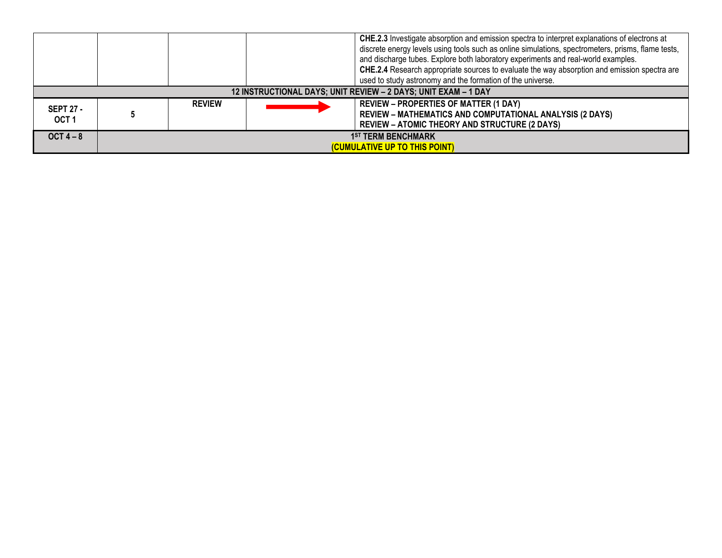|                                                                |                                                            |               |  | CHE.2.3 Investigate absorption and emission spectra to interpret explanations of electrons at<br>discrete energy levels using tools such as online simulations, spectrometers, prisms, flame tests,<br>and discharge tubes. Explore both laboratory experiments and real-world examples.<br>CHE.2.4 Research appropriate sources to evaluate the way absorption and emission spectra are<br>used to study astronomy and the formation of the universe. |
|----------------------------------------------------------------|------------------------------------------------------------|---------------|--|--------------------------------------------------------------------------------------------------------------------------------------------------------------------------------------------------------------------------------------------------------------------------------------------------------------------------------------------------------------------------------------------------------------------------------------------------------|
| 12 INSTRUCTIONAL DAYS; UNIT REVIEW - 2 DAYS; UNIT EXAM - 1 DAY |                                                            |               |  |                                                                                                                                                                                                                                                                                                                                                                                                                                                        |
| <b>SEPT 27 -</b><br>OCT <sub>1</sub>                           |                                                            | <b>REVIEW</b> |  | <b>REVIEW - PROPERTIES OF MATTER (1 DAY)</b><br><b>REVIEW - MATHEMATICS AND COMPUTATIONAL ANALYSIS (2 DAYS)</b><br><b>REVIEW – ATOMIC THEORY AND STRUCTURE (2 DAYS)</b>                                                                                                                                                                                                                                                                                |
| $OCT 4 - 8$                                                    | <b>1ST TERM BENCHMARK</b><br>(CUMULATIVE UP TO THIS POINT) |               |  |                                                                                                                                                                                                                                                                                                                                                                                                                                                        |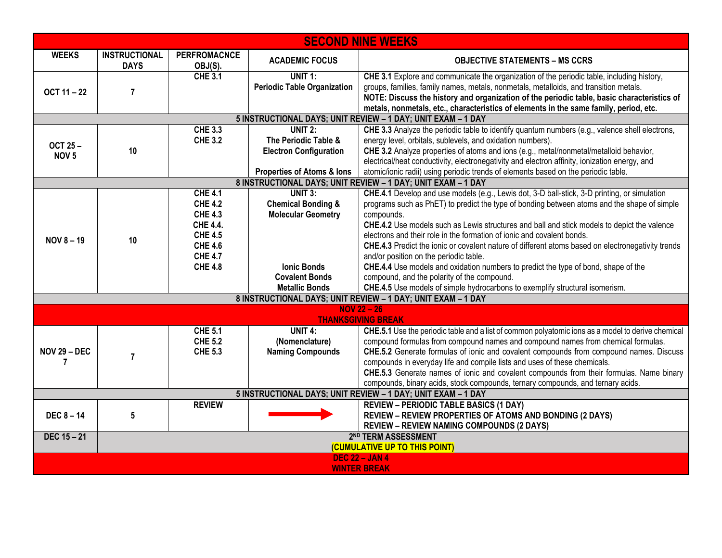| <b>SECOND NINE WEEKS</b>                                     |                                                                  |                                                                                                                                               |                                                                                                    |                                                                                                                                                                                                                                                                                                                                                                                                                                                                                                                                                                         |
|--------------------------------------------------------------|------------------------------------------------------------------|-----------------------------------------------------------------------------------------------------------------------------------------------|----------------------------------------------------------------------------------------------------|-------------------------------------------------------------------------------------------------------------------------------------------------------------------------------------------------------------------------------------------------------------------------------------------------------------------------------------------------------------------------------------------------------------------------------------------------------------------------------------------------------------------------------------------------------------------------|
| <b>WEEKS</b>                                                 | <b>INSTRUCTIONAL</b><br><b>DAYS</b>                              | <b>PERFROMACNCE</b><br>OBJ(S).                                                                                                                | <b>ACADEMIC FOCUS</b>                                                                              | <b>OBJECTIVE STATEMENTS - MS CCRS</b>                                                                                                                                                                                                                                                                                                                                                                                                                                                                                                                                   |
| OCT 11 - 22                                                  | $\overline{7}$                                                   | <b>CHE 3.1</b>                                                                                                                                | UNIT 1:<br><b>Periodic Table Organization</b>                                                      | CHE 3.1 Explore and communicate the organization of the periodic table, including history,<br>groups, families, family names, metals, nonmetals, metalloids, and transition metals.<br>NOTE: Discuss the history and organization of the periodic table, basic characteristics of<br>metals, nonmetals, etc., characteristics of elements in the same family, period, etc.                                                                                                                                                                                              |
|                                                              |                                                                  |                                                                                                                                               |                                                                                                    | 5 INSTRUCTIONAL DAYS; UNIT REVIEW - 1 DAY; UNIT EXAM - 1 DAY                                                                                                                                                                                                                                                                                                                                                                                                                                                                                                            |
| <b>OCT 25-</b><br>NOV <sub>5</sub>                           | 10                                                               | <b>CHE 3.3</b><br><b>CHE 3.2</b>                                                                                                              | <b>UNIT 2:</b><br>The Periodic Table &<br><b>Electron Configuration</b>                            | CHE 3.3 Analyze the periodic table to identify quantum numbers (e.g., valence shell electrons,<br>energy level, orbitals, sublevels, and oxidation numbers).<br>CHE 3.2 Analyze properties of atoms and ions (e.g., metal/nonmetal/metalloid behavior,<br>electrical/heat conductivity, electronegativity and electron affinity, ionization energy, and                                                                                                                                                                                                                 |
|                                                              |                                                                  |                                                                                                                                               | <b>Properties of Atoms &amp; lons</b>                                                              | atomic/ionic radii) using periodic trends of elements based on the periodic table.                                                                                                                                                                                                                                                                                                                                                                                                                                                                                      |
|                                                              |                                                                  |                                                                                                                                               |                                                                                                    | 8 INSTRUCTIONAL DAYS; UNIT REVIEW - 1 DAY; UNIT EXAM - 1 DAY                                                                                                                                                                                                                                                                                                                                                                                                                                                                                                            |
| <b>NOV 8-19</b>                                              | 10                                                               | <b>CHE 4.1</b><br><b>CHE 4.2</b><br><b>CHE 4.3</b><br><b>CHE 4.4.</b><br><b>CHE 4.5</b><br><b>CHE 4.6</b><br><b>CHE 4.7</b><br><b>CHE 4.8</b> | <b>UNIT 3:</b><br><b>Chemical Bonding &amp;</b><br><b>Molecular Geometry</b><br><b>Ionic Bonds</b> | CHE.4.1 Develop and use models (e.g., Lewis dot, 3-D ball-stick, 3-D printing, or simulation<br>programs such as PhET) to predict the type of bonding between atoms and the shape of simple<br>compounds.<br><b>CHE.4.2</b> Use models such as Lewis structures and ball and stick models to depict the valence<br>electrons and their role in the formation of ionic and covalent bonds.<br>CHE.4.3 Predict the ionic or covalent nature of different atoms based on electronegativity trends<br>and/or position on the periodic table.                                |
|                                                              |                                                                  |                                                                                                                                               | <b>Covalent Bonds</b><br><b>Metallic Bonds</b>                                                     | CHE.4.4 Use models and oxidation numbers to predict the type of bond, shape of the<br>compound, and the polarity of the compound.<br>CHE.4.5 Use models of simple hydrocarbons to exemplify structural isomerism.                                                                                                                                                                                                                                                                                                                                                       |
|                                                              |                                                                  |                                                                                                                                               |                                                                                                    | 8 INSTRUCTIONAL DAYS; UNIT REVIEW - 1 DAY; UNIT EXAM - 1 DAY                                                                                                                                                                                                                                                                                                                                                                                                                                                                                                            |
|                                                              |                                                                  |                                                                                                                                               |                                                                                                    | $NOV 22 - 26$                                                                                                                                                                                                                                                                                                                                                                                                                                                                                                                                                           |
| <b>NOV 29 - DEC</b>                                          | $\overline{7}$                                                   | <b>CHE 5.1</b><br><b>CHE 5.2</b><br><b>CHE 5.3</b>                                                                                            | UNIT $4$ :<br>(Nomenclature)<br><b>Naming Compounds</b>                                            | <b>THANKSGIVING BREAK</b><br>CHE.5.1 Use the periodic table and a list of common polyatomic ions as a model to derive chemical<br>compound formulas from compound names and compound names from chemical formulas.<br>CHE.5.2 Generate formulas of ionic and covalent compounds from compound names. Discuss<br>compounds in everyday life and compile lists and uses of these chemicals.<br>CHE.5.3 Generate names of ionic and covalent compounds from their formulas. Name binary<br>compounds, binary acids, stock compounds, ternary compounds, and ternary acids. |
| 5 INSTRUCTIONAL DAYS; UNIT REVIEW - 1 DAY; UNIT EXAM - 1 DAY |                                                                  |                                                                                                                                               |                                                                                                    |                                                                                                                                                                                                                                                                                                                                                                                                                                                                                                                                                                         |
| <b>DEC 8 - 14</b>                                            | 5                                                                | <b>REVIEW</b>                                                                                                                                 |                                                                                                    | <b>REVIEW - PERIODIC TABLE BASICS (1 DAY)</b><br><b>REVIEW - REVIEW PROPERTIES OF ATOMS AND BONDING (2 DAYS)</b><br><b>REVIEW - REVIEW NAMING COMPOUNDS (2 DAYS)</b>                                                                                                                                                                                                                                                                                                                                                                                                    |
| $DEC 15 - 21$                                                | 2 <sup>ND</sup> TERM ASSESSMENT<br>(CUMULATIVE UP TO THIS POINT) |                                                                                                                                               |                                                                                                    |                                                                                                                                                                                                                                                                                                                                                                                                                                                                                                                                                                         |
| <b>DEC 22 - JAN 4</b><br><b>WINTER BREAK</b>                 |                                                                  |                                                                                                                                               |                                                                                                    |                                                                                                                                                                                                                                                                                                                                                                                                                                                                                                                                                                         |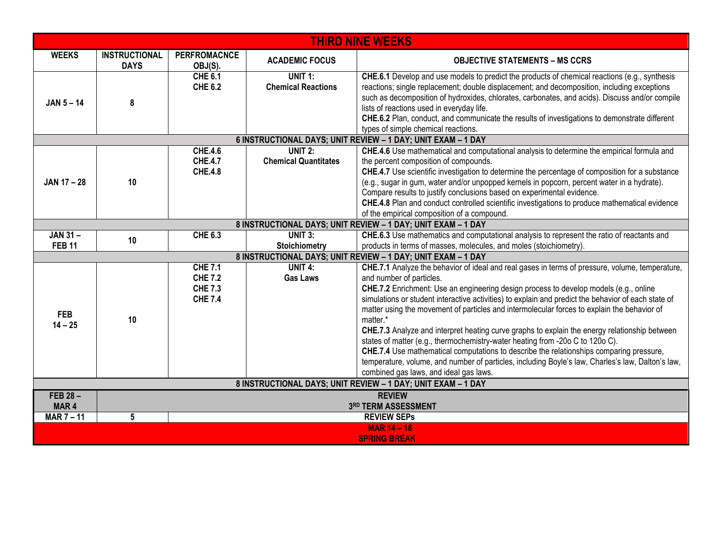| <b>THIRD NINE WEEKS</b>                                      |                                      |                                                                      |                                               |                                                                                                                                                                                                                                                                                                                                                                                                                                                                                                                                                                                                                                                                                                                                                                                                                                                                    |
|--------------------------------------------------------------|--------------------------------------|----------------------------------------------------------------------|-----------------------------------------------|--------------------------------------------------------------------------------------------------------------------------------------------------------------------------------------------------------------------------------------------------------------------------------------------------------------------------------------------------------------------------------------------------------------------------------------------------------------------------------------------------------------------------------------------------------------------------------------------------------------------------------------------------------------------------------------------------------------------------------------------------------------------------------------------------------------------------------------------------------------------|
| <b>WEEKS</b>                                                 | <b>INSTRUCTIONAL</b><br><b>DAYS</b>  | <b>PERFROMACNCE</b><br>OBJ(S).                                       | <b>ACADEMIC FOCUS</b>                         | <b>OBJECTIVE STATEMENTS - MS CCRS</b>                                                                                                                                                                                                                                                                                                                                                                                                                                                                                                                                                                                                                                                                                                                                                                                                                              |
| $JAN 5 - 14$                                                 | 8                                    | <b>CHE 6.1</b><br><b>CHE 6.2</b>                                     | <b>UNIT 1:</b><br><b>Chemical Reactions</b>   | CHE.6.1 Develop and use models to predict the products of chemical reactions (e.g., synthesis<br>reactions; single replacement; double displacement; and decomposition, including exceptions<br>such as decomposition of hydroxides, chlorates, carbonates, and acids). Discuss and/or compile<br>lists of reactions used in everyday life.<br>CHE.6.2 Plan, conduct, and communicate the results of investigations to demonstrate different<br>types of simple chemical reactions.                                                                                                                                                                                                                                                                                                                                                                                |
|                                                              |                                      |                                                                      |                                               | 6 INSTRUCTIONAL DAYS; UNIT REVIEW - 1 DAY; UNIT EXAM - 1 DAY                                                                                                                                                                                                                                                                                                                                                                                                                                                                                                                                                                                                                                                                                                                                                                                                       |
| <b>JAN 17-28</b>                                             | 10                                   | <b>CHE.4.6</b><br><b>CHE.4.7</b><br><b>CHE.4.8</b>                   | <b>UNIT 2:</b><br><b>Chemical Quantitates</b> | CHE.4.6 Use mathematical and computational analysis to determine the empirical formula and<br>the percent composition of compounds.<br>CHE.4.7 Use scientific investigation to determine the percentage of composition for a substance<br>(e.g., sugar in gum, water and/or unpopped kernels in popcorn, percent water in a hydrate).<br>Compare results to justify conclusions based on experimental evidence.<br>CHE.4.8 Plan and conduct controlled scientific investigations to produce mathematical evidence<br>of the empirical composition of a compound.                                                                                                                                                                                                                                                                                                   |
|                                                              |                                      |                                                                      |                                               | 8 INSTRUCTIONAL DAYS; UNIT REVIEW - 1 DAY; UNIT EXAM - 1 DAY                                                                                                                                                                                                                                                                                                                                                                                                                                                                                                                                                                                                                                                                                                                                                                                                       |
| <b>JAN 31-</b><br><b>FEB 11</b>                              | 10                                   | <b>CHE 6.3</b>                                                       | UNIT 3:<br><b>Stoichiometry</b>               | CHE.6.3 Use mathematics and computational analysis to represent the ratio of reactants and<br>products in terms of masses, molecules, and moles (stoichiometry).                                                                                                                                                                                                                                                                                                                                                                                                                                                                                                                                                                                                                                                                                                   |
|                                                              |                                      |                                                                      |                                               | 8 INSTRUCTIONAL DAYS; UNIT REVIEW - 1 DAY; UNIT EXAM - 1 DAY                                                                                                                                                                                                                                                                                                                                                                                                                                                                                                                                                                                                                                                                                                                                                                                                       |
| <b>FEB</b><br>$14 - 25$                                      | 10                                   | <b>CHE 7.1</b><br><b>CHE 7.2</b><br><b>CHE 7.3</b><br><b>CHE 7.4</b> | UNIT $4$ :<br><b>Gas Laws</b>                 | CHE.7.1 Analyze the behavior of ideal and real gases in terms of pressure, volume, temperature,<br>and number of particles.<br>CHE.7.2 Enrichment: Use an engineering design process to develop models (e.g., online<br>simulations or student interactive activities) to explain and predict the behavior of each state of<br>matter using the movement of particles and intermolecular forces to explain the behavior of<br>matter.*<br>CHE.7.3 Analyze and interpret heating curve graphs to explain the energy relationship between<br>states of matter (e.g., thermochemistry-water heating from -20o C to 120o C).<br>CHE.7.4 Use mathematical computations to describe the relationships comparing pressure,<br>temperature, volume, and number of particles, including Boyle's law, Charles's law, Dalton's law,<br>combined gas laws, and ideal gas laws. |
| 8 INSTRUCTIONAL DAYS; UNIT REVIEW - 1 DAY; UNIT EXAM - 1 DAY |                                      |                                                                      |                                               |                                                                                                                                                                                                                                                                                                                                                                                                                                                                                                                                                                                                                                                                                                                                                                                                                                                                    |
| <b>FEB 28-</b><br>MAR <sub>4</sub>                           | <b>REVIEW</b><br>3RD TERM ASSESSMENT |                                                                      |                                               |                                                                                                                                                                                                                                                                                                                                                                                                                                                                                                                                                                                                                                                                                                                                                                                                                                                                    |
| MAR $7 - 11$                                                 | 5                                    |                                                                      |                                               | <b>REVIEW SEPs</b>                                                                                                                                                                                                                                                                                                                                                                                                                                                                                                                                                                                                                                                                                                                                                                                                                                                 |
| <b>MAR 14 - 18</b><br><b>SPRING BREAK</b>                    |                                      |                                                                      |                                               |                                                                                                                                                                                                                                                                                                                                                                                                                                                                                                                                                                                                                                                                                                                                                                                                                                                                    |